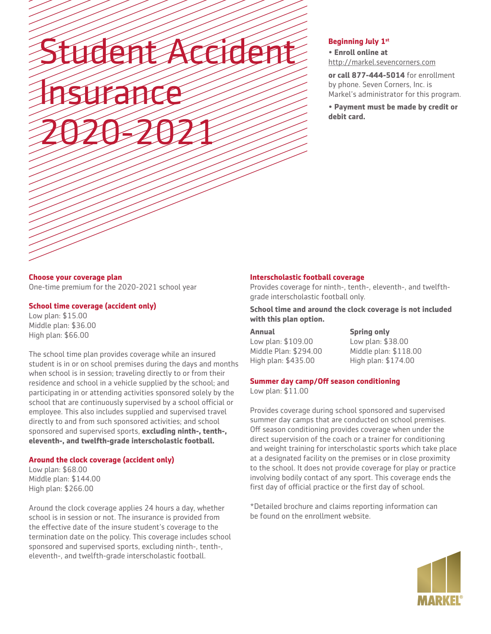# Student Accident Insurance 2020-2021

### **Beginning July 1st**

• **Enroll online at** http://markel.sevencorners.com

**or call 877-444-5014** for enrollment by phone. Seven Corners, Inc. is Markel's administrator for this program.

**• Payment must be made by credit or debit card.**

# **Choose your coverage plan** One-time premium for the 2020-2021 school year

### **School time coverage (accident only)**

Low plan: \$15.00 Middle plan: \$36.00 High plan: \$66.00

The school time plan provides coverage while an insured student is in or on school premises during the days and months when school is in session; traveling directly to or from their residence and school in a vehicle supplied by the school; and participating in or attending activities sponsored solely by the school that are continuously supervised by a school official or employee. This also includes supplied and supervised travel directly to and from such sponsored activities; and school sponsored and supervised sports, **excluding ninth-, tenth-, eleventh-, and twelfth-grade interscholastic football.**

## **Around the clock coverage (accident only)**

Low plan: \$68.00 Middle plan: \$144.00 High plan: \$266.00

Around the clock coverage applies 24 hours a day, whether school is in session or not. The insurance is provided from the effective date of the insure student's coverage to the termination date on the policy. This coverage includes school sponsored and supervised sports, excluding ninth-, tenth-, eleventh-, and twelfth-grade interscholastic football.

# **Interscholastic football coverage**

Provides coverage for ninth-, tenth-, eleventh-, and twelfthgrade interscholastic football only.

**School time and around the clock coverage is not included with this plan option.**

**Annual** Low plan: \$109.00 Middle Plan: \$294.00 High plan: \$435.00

**Spring only** Low plan: \$38.00 Middle plan: \$118.00 High plan: \$174.00

# **Summer day camp/Off season conditioning**

Low plan: \$11.00

Provides coverage during school sponsored and supervised summer day camps that are conducted on school premises. Off season conditioning provides coverage when under the direct supervision of the coach or a trainer for conditioning and weight training for interscholastic sports which take place at a designated facility on the premises or in close proximity to the school. It does not provide coverage for play or practice involving bodily contact of any sport. This coverage ends the first day of official practice or the first day of school.

\*Detailed brochure and claims reporting information can be found on the enrollment website.

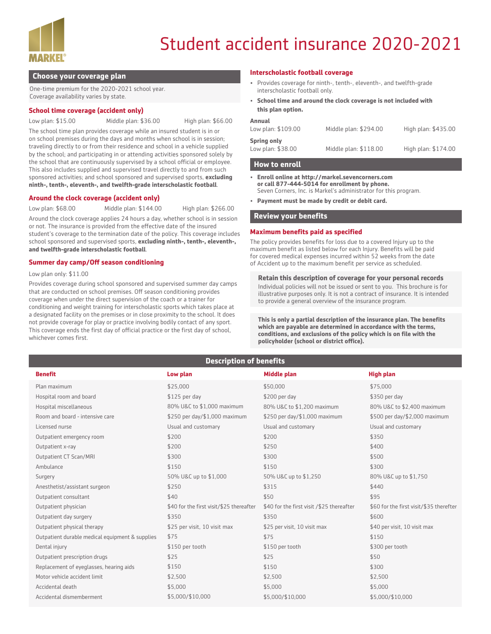

# Student accident insurance 2020-2021

#### **Choose your coverage plan**

One-time premium for the 2020-2021 school year. Coverage availability varies by state.

#### **School time coverage (accident only)**

Low plan: \$15.00 Middle plan: \$36.00 High plan: \$66.00

The school time plan provides coverage while an insured student is in or on school premises during the days and months when school is in session; traveling directly to or from their residence and school in a vehicle supplied by the school; and participating in or attending activities sponsored solely by the school that are continuously supervised by a school official or employee. This also includes supplied and supervised travel directly to and from such sponsored activities; and school sponsored and supervised sports, **excluding ninth-, tenth-, eleventh-, and twelfth-grade interscholastic football**.

#### **Around the clock coverage (accident only)**

Low plan: \$68.00 Middle plan: \$144.00 High plan: \$266.00

Around the clock coverage applies 24 hours a day, whether school is in session or not. The insurance is provided from the effective date of the insured student's coverage to the termination date of the policy. This coverage includes school sponsored and supervised sports, **excluding ninth-, tenth-, eleventh-, and twelfth-grade interscholastic football**.

#### **Summer day camp/Off season conditioning**

Low plan only: \$11.00

Provides coverage during school sponsored and supervised summer day camps that are conducted on school premises. Off season conditioning provides coverage when under the direct supervision of the coach or a trainer for conditioning and weight training for interscholastic sports which takes place at a designated facility on the premises or in close proximity to the school. It does not provide coverage for play or practice involving bodily contact of any sport. This coverage ends the first day of official practice or the first day of school, whichever comes first.

#### **Interscholastic football coverage**

- Provides coverage for ninth-, tenth-, eleventh-, and twelfth-grade interscholastic football only.
- **School time and around the clock coverage is not included with this plan option.**

| <b>Annual</b><br>Low plan: \$109.00     | Middle plan: \$294.00 | High plan: \$435.00 |
|-----------------------------------------|-----------------------|---------------------|
| <b>Spring only</b><br>Low plan: \$38.00 | Middle plan: \$118.00 | High plan: \$174.00 |

#### **How to enroll**

- **• Enroll online at http://markel.sevencorners.com or call 877-444-5014 for enrollment by phone.**  Seven Corners, Inc. is Markel's administrator for this program.
- **• Payment must be made by credit or debit card.**

#### **Review your benefits**

#### **Maximum benefits paid as specified**

The policy provides benefits for loss due to a covered Injury up to the maximum benefit as listed below for each Injury. Benefits will be paid for covered medical expenses incurred within 52 weeks from the date of Accident up to the maximum benefit per service as scheduled.

#### **Retain this description of coverage for your personal records**

Individual policies will not be issued or sent to you. This brochure is for illustrative purposes only. It is not a contract of insurance. It is intended to provide a general overview of the insurance program.

**This is only a partial description of the insurance plan. The benefits which are payable are determined in accordance with the terms, conditions, and exclusions of the policy which is on file with the policyholder (school or district office).**

# **Description of benefits**

| <b>Benefit</b>                                  | Low plan                                 | <b>Middle plan</b>                        | <b>High plan</b>                        |
|-------------------------------------------------|------------------------------------------|-------------------------------------------|-----------------------------------------|
| Plan maximum                                    | \$25,000                                 | \$50,000                                  | \$75,000                                |
| Hospital room and board                         | $$125$ per day                           | \$200 per day                             | \$350 per day                           |
| Hospital miscellaneous                          | 80% U&C to \$1,000 maximum               | 80% U&C to \$1,200 maximum                | 80% U&C to \$2,400 maximum              |
| Room and board - intensive care                 | \$250 per day/\$1,000 maximum            | \$250 per day/\$1,000 maximum             | \$500 per day/\$2,000 maximum           |
| Licensed nurse                                  | Usual and customary                      | Usual and customary                       | Usual and customary                     |
| Outpatient emergency room                       | \$200                                    | \$200                                     | \$350                                   |
| Outpatient x-ray                                | \$200                                    | \$250                                     | \$400                                   |
| Outpatient CT Scan/MRI                          | \$300                                    | \$300                                     | \$500                                   |
| Ambulance                                       | \$150                                    | \$150                                     | \$300                                   |
| Surgery                                         | 50% U&C up to \$1,000                    | 50% U&C up to \$1,250                     | 80% U&C up to \$1,750                   |
| Anesthetist/assistant surgeon                   | \$250                                    | \$315                                     | \$440                                   |
| Outpatient consultant                           | \$40                                     | \$50                                      | \$95                                    |
| Outpatient physician                            | \$40 for the first visit/\$25 thereafter | \$40 for the first visit /\$25 thereafter | \$60 for the first visit/\$35 therefter |
| Outpatient day surgery                          | \$350                                    | \$350                                     | \$600                                   |
| Outpatient physical therapy                     | \$25 per visit, 10 visit max             | \$25 per visit, 10 visit max              | \$40 per visit, 10 visit max            |
| Outpatient durable medical equipment & supplies | \$75                                     | \$75                                      | \$150                                   |
| Dental injury                                   | \$150 per tooth                          | \$150 per tooth                           | \$300 per tooth                         |
| Outpatient prescription drugs                   | \$25                                     | \$25                                      | \$50                                    |
| Replacement of eyeglasses, hearing aids         | \$150                                    | \$150                                     | \$300                                   |
| Motor vehicle accident limit                    | \$2,500                                  | \$2,500                                   | \$2,500                                 |
| Accidental death                                | \$5,000                                  | \$5,000                                   | \$5,000                                 |
| Accidental dismemberment                        | \$5,000/\$10,000                         | \$5,000/\$10,000                          | \$5,000/\$10,000                        |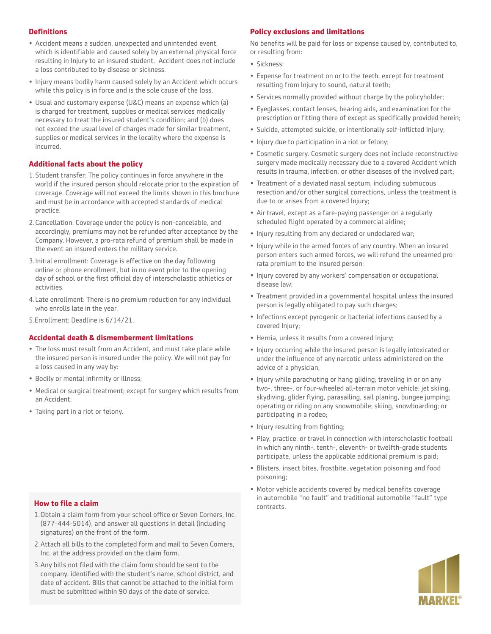# **Definitions**

- Accident means a sudden, unexpected and unintended event, which is identifiable and caused solely by an external physical force resulting in Injury to an insured student. Accident does not include a loss contributed to by disease or sickness.
- Injury means bodily harm caused solely by an Accident which occurs while this policy is in force and is the sole cause of the loss.
- Usual and customary expense (U&C) means an expense which (a) is charged for treatment, supplies or medical services medically necessary to treat the insured student's condition; and (b) does not exceed the usual level of charges made for similar treatment, supplies or medical services in the locality where the expense is incurred.

# **Additional facts about the policy**

- 1.Student transfer: The policy continues in force anywhere in the world if the insured person should relocate prior to the expiration of coverage. Coverage will not exceed the limits shown in this brochure and must be in accordance with accepted standards of medical practice.
- 2.Cancellation: Coverage under the policy is non-cancelable, and accordingly, premiums may not be refunded after acceptance by the Company. However, a pro-rata refund of premium shall be made in the event an insured enters the military service.
- 3.Initial enrollment: Coverage is effective on the day following online or phone enrollment, but in no event prior to the opening day of school or the first official day of interscholastic athletics or activities.
- 4.Late enrollment: There is no premium reduction for any individual who enrolls late in the year.
- 5.Enrollment: Deadline is 6/14/21.

#### **Accidental death & dismemberment limitations**

- The loss must result from an Accident, and must take place while the insured person is insured under the policy. We will not pay for a loss caused in any way by:
- Bodily or mental infirmity or illness;
- Medical or surgical treatment; except for surgery which results from an Accident;
- Taking part in a riot or felony.

# **How to file a claim How to file a claim How to file a claim All and Section Contracts**.

- 1.Obtain a claim form from your school office or Seven Corners, Inc. (877-444-5014), and answer all questions in detail (including signatures) on the front of the form.
- 2.Attach all bills to the completed form and mail to Seven Corners, Inc. at the address provided on the claim form.
- 3.Any bills not filed with the claim form should be sent to the company, identified with the student's name, school district, and date of accident. Bills that cannot be attached to the initial form must be submitted within 90 days of the date of service.

# **Policy exclusions and limitations**

No benefits will be paid for loss or expense caused by, contributed to, or resulting from:

- Sickness;
- Expense for treatment on or to the teeth, except for treatment resulting from Injury to sound, natural teeth;
- Services normally provided without charge by the policyholder;
- Eyeglasses, contact lenses, hearing aids, and examination for the prescription or fitting there of except as specifically provided herein;
- Suicide, attempted suicide, or intentionally self-inflicted Injury;
- Injury due to participation in a riot or felony;
- Cosmetic surgery. Cosmetic surgery does not include reconstructive surgery made medically necessary due to a covered Accident which results in trauma, infection, or other diseases of the involved part;
- Treatment of a deviated nasal septum, including submucous resection and/or other surgical corrections, unless the treatment is due to or arises from a covered Injury;
- Air travel, except as a fare-paying passenger on a regularly scheduled flight operated by a commercial airline;
- Injury resulting from any declared or undeclared war;
- Injury while in the armed forces of any country. When an insured person enters such armed forces, we will refund the unearned prorata premium to the insured person;
- Injury covered by any workers' compensation or occupational disease law;
- Treatment provided in a governmental hospital unless the insured person is legally obligated to pay such charges;
- Infections except pyrogenic or bacterial infections caused by a covered Injury;
- Hernia, unless it results from a covered Injury;
- Injury occurring while the insured person is legally intoxicated or under the influence of any narcotic unless administered on the advice of a physician;
- Injury while parachuting or hang gliding; traveling in or on any two-, three-, or four-wheeled all-terrain motor vehicle; jet skiing, skydiving, glider flying, parasailing, sail planing, bungee jumping; operating or riding on any snowmobile; skiing, snowboarding; or participating in a rodeo;
- Injury resulting from fighting;
- Play, practice, or travel in connection with interscholastic football in which any ninth-, tenth-, eleventh- or twelfth-grade students participate, unless the applicable additional premium is paid;
- Blisters, insect bites, frostbite, vegetation poisoning and food poisoning;
- Motor vehicle accidents covered by medical benefits coverage in automobile "no fault" and traditional automobile "fault" type

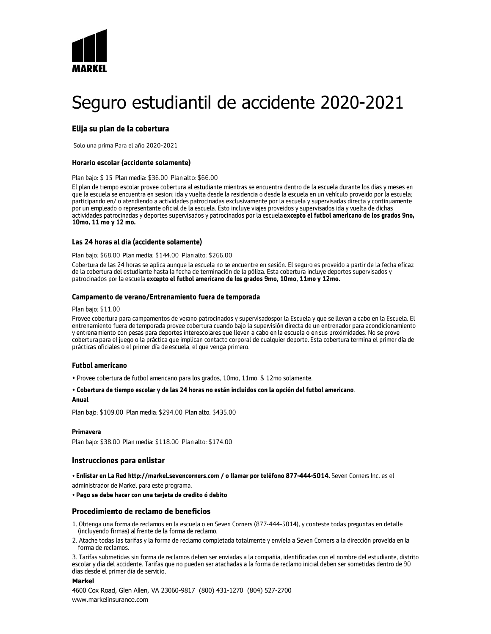

# Seguro estudiantil de accidente 2020-2021

# Elija su plan de la cobertura

Solo una prima Para el año 2020-2021

#### Horario escolar (accidente solamente)

#### Plan bajo: \$15 Plan media: \$36.00 Plan alto: \$66.00

El plan de tiempo escolar provee cobertura al estudiante mientras se encuentra dentro de la escuela durante los días y meses en que la escuela se encuentra en sesion; ida y vuelta desde la residencia o desde la escuela en un vehículo proveido por la escuela; participando en/ o atendiendo a actividades patrocinadas exclusivamente por la escuela y supervisadas directa y continuamente por un empleado o representante oficial de la escuela. Esto incluye viajes proveidos y supervisados ida y vuelta de dichas actividades patrocinadas y deportes supervisados y patrocinados por la escuela excepto el futbol americano de los grados 9no, 10mo. 11 mo y 12 mo.

#### Las 24 horas al dia (accidente solamente)

#### Plan bajo: \$68.00 Plan media: \$144.00 Plan alto: \$266.00

Cobertura de las 24 horas se aplica aunque la escuela no se encuentre en sesión. El seguro es proveido a partir de la fecha eficaz de la cobertura del estudiante hasta la fecha de terminación de la póliza. Esta cobertura incluye deportes supervisados y patrocinados por la escuela excepto el futbol americano de los grados 9mo, 10mo, 11mo y 12mo.

#### Campamento de verano/Entrenamiento fuera de temporada

#### Plan bajo: \$11.00

Provee cobertura para campamentos de verano patrocinados y supervisadospor la Escuela y que se llevan a cabo en la Escuela. El<br>entrenamiento fuera de temporada provee cobertura cuando bajo la supervisión directa de un entr y entrenamiento con pesas para deportes interescolares que lleven a cabo en la escuela o en sus proximidades. No se prove cobertura para el juego o la práctica que implican contacto corporal de cualquier deporte. Esta cobertura termina el primer día de prácticas oficiales o el primer día de escuela, el que venga primero.

#### **Futbol americano**

· Provee cobertura de futbol americano para los grados, 10mo, 11mo, & 12mo solamente.

#### · Cobertura de tiempo escolar y de las 24 horas no están incluidos con la opción del futbol americano. **Anual**

Plan bajo: \$109.00 Plan media: \$294.00 Plan alto: \$435.00

#### Primavera

Plan baio: \$38.00 Plan media: \$118.00 Plan alto: \$174.00

#### Instrucciones para enlistar

· Enlistar en La Red http://markel.sevencorners.com / o llamar por teléfono 877-444-5014. Seven Corners Inc. es el administrador de Markel para este programa.

#### · Pago se debe hacer con una tarieta de credito ó debito

#### Procedimiento de reclamo de beneficios

- 1. Obtenga una forma de reclamos en la escuela o en Seven Corners (877-444-5014), y conteste todas preguntas en detalle (incluyendo firmas) al frente de la forma de reclamo.
- 2. Atache todas las tarifas y la forma de reclamo completada totalmente y envíela a Seven Corners a la dirección proveída en la forma de reclamos.

3. Tarifas submetidas sin forma de reclamos deben ser enviadas a la compañía, identificadas con el nombre del estudiante, distrito escolar y día del accidente. Tarifas que no pueden ser atachadas a la forma de reclamo inicial deben ser sometidas dentro de 90 días desde el primer día de servicio.

#### **Markel**

4600 Cox Road, Glen Allen, VA 23060-9817 (800) 431-1270 (804) 527-2700 www.markelinsurance.com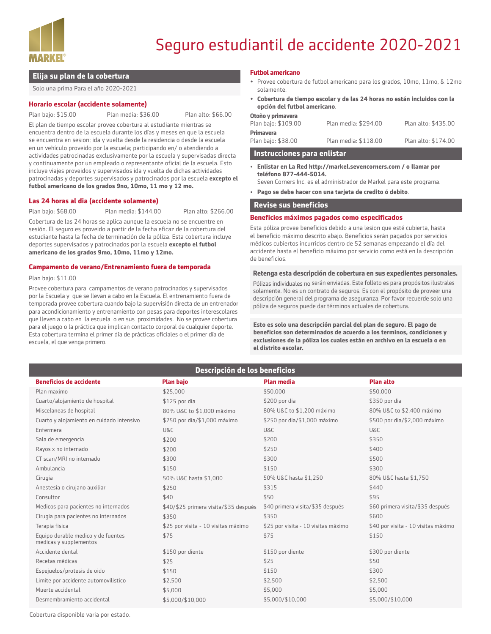

# Seguro estudiantil de accidente 2020-2021

#### **Elija su plan de la cobertura**

Solo una prima Para el año 2020-2021

#### **Horario escolar (accidente solamente)**

Plan bajo: \$15.00 Plan media: \$36.00 Plan alto: \$66.00

El plan de tiempo escolar provee cobertura al estudiante mientras se encuentra dentro de la escuela durante los días y meses en que la escuela se encuentra en sesion; ida y vuelta desde la residencia o desde la escuela en un vehículo proveido por la escuela; participando en/ o atendiendo a actividades patrocinadas exclusivamente por la escuela y supervisadas directa y continuamente por un empleado o representante oficial de la escuela. Esto incluye viajes proveidos y supervisados ida y vuelta de dichas actividades patrocinadas y deportes supervisados y patrocinados por la escuela **excepto el futbol americano de los grados 9no, 10mo, 11 mo y 12 mo.**

#### **Las 24 horas al dia (accidente solamente)**

Plan bajo: \$68.00 Plan media: \$144.00 Plan alto: \$266.00

Cobertura de las 24 horas se aplica aunque la escuela no se encuentre en sesión. El seguro es proveido a partir de la fecha eficaz de la cobertura del estudiante hasta la fecha de terminación de la póliza. Esta cobertura incluye deportes supervisados y patrocinados por la escuela **excepto el futbol americano de los grados 9mo, 10mo, 11mo y 12mo.**

#### **Campamento de verano/Entrenamiento fuera de temporada**

#### Plan bajo: \$11.00

Provee cobertura para campamentos de verano patrocinados y supervisados por la Escuela y que se llevan a cabo en la Escuela. El entrenamiento fuera de temporada provee cobertura cuando bajo la supervisión directa de un entrenador para acondicionamiento y entrenamiento con pesas para deportes interescolares que lleven a cabo en la escuela o en sus proximidades. No se provee cobertura para el juego o la práctica que implican contacto corporal de cualquier deporte. Esta cobertura termina el primer día de prácticas oficiales o el primer día de escuela, el que venga primero.

#### **Futbol americano**

- Provee cobertura de futbol americano para los grados, 10mo, 11mo, & 12mo solamente.
- **• Cobertura de tiempo escolar y de las 24 horas no están incluidos con la opción del futbol americano**.

| Plan bajo: \$38.00  | Plan media: \$118.00 | Plan alto: \$174.00 |
|---------------------|----------------------|---------------------|
| <b>Primavera</b>    |                      |                     |
| Plan bajo: \$109.00 | Plan media: \$294.00 | Plan alto: \$435.00 |
| Otoño y primavera   |                      |                     |

#### **Instrucciones para enlistar**

- **• Enlistar en La Red http://markel.sevencorners.com / o llamar por teléfono 877-444-5014.** 
	- Seven Corners Inc. es el administrador de Markel para este programa.
- **• Pago se debe hacer con una tarjeta de credito ó debito**.

#### **Revise sus beneficios**

#### **Beneficios máximos pagados como especificados**

Esta póliza provee beneficios debido a una lesion que esté cubierta, hasta el beneficio máximo descrito abajo. Beneficios serán pagados por servicios médicos cubiertos incurridos dentro de 52 semanas empezando el día del accidente hasta el beneficio máximo por servicio como está en la descripción de beneficios.

#### **Retenga esta descripción de cobertura en sus expedientes personales.**

Pólizas individuales no serán enviadas. Este folleto es para propósitos ilustrales solamente. No es un contrato de seguros. Es con el propósito de proveer una descripción general del programa de aseguranza. Por favor recuerde solo una póliza de seguros puede dar términos actuales de cobertura.

**Esto es solo una descripción parcial del plan de seguro. El pago de beneficios son determinados de acuerdo a los terminos, condiciones y exclusiones de la póliza los cuales están en archivo en la escuela o en el distrito escolar.** 

| Descripción de los beneficios                                |                                       |                                     |                                     |  |  |  |
|--------------------------------------------------------------|---------------------------------------|-------------------------------------|-------------------------------------|--|--|--|
| <b>Beneficios de accidente</b>                               | <b>Plan bajo</b>                      | <b>Plan media</b>                   | <b>Plan alto</b>                    |  |  |  |
| Plan maximo                                                  | \$25,000                              | \$50,000                            | \$50,000                            |  |  |  |
| Cuarto/alojamiento de hospital                               | $$125$ por dia                        | \$200 por dia                       | \$350 por dia                       |  |  |  |
| Miscelaneas de hospital                                      | 80% U&C to \$1,000 máximo             | 80% U&C to \$1,200 máximo           | 80% U&C to \$2,400 máximo           |  |  |  |
| Cuarto y alojamiento en cuidado intensivo                    | \$250 por dia/\$1,000 máximo          | \$250 por dia/\$1,000 máximo        | \$500 por dia/\$2,000 máximo        |  |  |  |
| Enfermera                                                    | U&C                                   | U&C                                 | U&C                                 |  |  |  |
| Sala de emergencia                                           | \$200                                 | \$200                               | \$350                               |  |  |  |
| Rayos x no internado                                         | \$200                                 | \$250                               | \$400                               |  |  |  |
| CT scan/MRI no internado                                     | \$300                                 | \$300                               | \$500                               |  |  |  |
| Ambulancia                                                   | \$150                                 | \$150                               | \$300                               |  |  |  |
| Cirugia                                                      | 50% U&C hasta \$1,000                 | 50% U&C hasta \$1,250               | 80% U&C hasta \$1,750               |  |  |  |
| Anestesia o cirujano auxiliar                                | \$250                                 | \$315                               | \$440                               |  |  |  |
| Consultor                                                    | \$40                                  | \$50                                | \$95                                |  |  |  |
| Medicos para pacientes no internados                         | \$40/\$25 primera visita/\$35 después | \$40 primera visita/\$35 después    | \$60 primera visita/\$35 después    |  |  |  |
| Cirugia para pacientes no internados                         | \$350                                 | \$350                               | \$600                               |  |  |  |
| Terapia fisica                                               | \$25 por visita - 10 visitas máximo   | \$25 por visita - 10 visitas máximo | \$40 por visita - 10 visitas máximo |  |  |  |
| Equipo durable medico y de fuentes<br>medicas y supplementos | \$75                                  | \$75                                | \$150                               |  |  |  |
| Accidente dental                                             | \$150 por diente                      | \$150 por diente                    | \$300 por diente                    |  |  |  |
| Recetas médicas                                              | \$25                                  | \$25                                | \$50                                |  |  |  |
| Espejuelos/protesis de oido                                  | \$150                                 | \$150                               | \$300                               |  |  |  |
| Limite por accidente automovilistico                         | \$2,500                               | \$2,500                             | \$2,500                             |  |  |  |
| Muerte accidental                                            | \$5,000                               | \$5,000                             | \$5,000                             |  |  |  |
| Desmembramiento accidental                                   | \$5,000/\$10,000                      | \$5,000/\$10,000                    | \$5,000/\$10,000                    |  |  |  |

Cobertura disponible varia por estado.